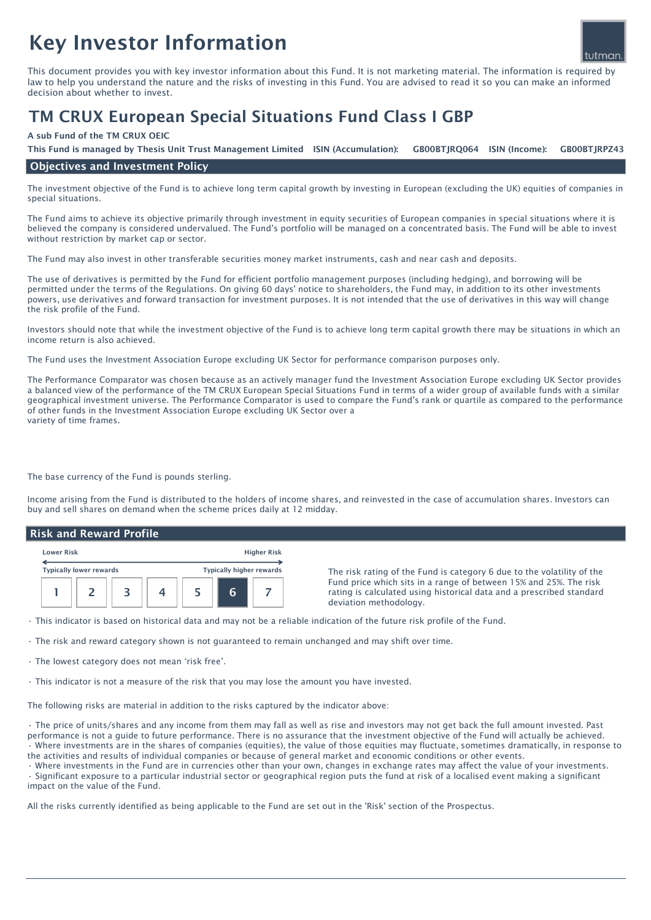# Key Investor Information



This document provides you with key investor information about this Fund. It is not marketing material. The information is required by law to help you understand the nature and the risks of investing in this Fund. You are advised to read it so you can make an informed decision about whether to invest.

# TM CRUX European Special Situations Fund Class I GBP

#### A sub Fund of the TM CRUX OEIC

GB00BTJRQ064 ISIN (Income): This Fund is managed by Thesis Unit Trust Management Limited ISIN (Accumulation): GB00BTJRQ064 ISIN (Income): GB00BTJRPZ43

# Objectives and Investment Policy

The investment objective of the Fund is to achieve long term capital growth by investing in European (excluding the UK) equities of companies in special situations.

The Fund aims to achieve its objective primarily through investment in equity securities of European companies in special situations where it is believed the company is considered undervalued. The Fund's portfolio will be managed on a concentrated basis. The Fund will be able to invest without restriction by market cap or sector.

The Fund may also invest in other transferable securities money market instruments, cash and near cash and deposits.

The use of derivatives is permitted by the Fund for efficient portfolio management purposes (including hedging), and borrowing will be permitted under the terms of the Regulations. On giving 60 days' notice to shareholders, the Fund may, in addition to its other investments powers, use derivatives and forward transaction for investment purposes. It is not intended that the use of derivatives in this way will change the risk profile of the Fund.

Investors should note that while the investment objective of the Fund is to achieve long term capital growth there may be situations in which an income return is also achieved.

The Fund uses the Investment Association Europe excluding UK Sector for performance comparison purposes only.

The Performance Comparator was chosen because as an actively manager fund the Investment Association Europe excluding UK Sector provides a balanced view of the performance of the TM CRUX European Special Situations Fund in terms of a wider group of available funds with a similar geographical investment universe. The Performance Comparator is used to compare the Fund's rank or quartile as compared to the performance of other funds in the Investment Association Europe excluding UK Sector over a variety of time frames.

The base currency of the Fund is pounds sterling.

Income arising from the Fund is distributed to the holders of income shares, and reinvested in the case of accumulation shares. Investors can buy and sell shares on demand when the scheme prices daily at 12 midday.

### Risk and Reward Profile

| <b>Lower Risk</b>              |  |  |  | <b>Higher Risk</b>              |  |  |
|--------------------------------|--|--|--|---------------------------------|--|--|
| <b>Typically lower rewards</b> |  |  |  | <b>Typically higher rewards</b> |  |  |
|                                |  |  |  |                                 |  |  |

The risk rating of the Fund is category 6 due to the volatility of the Fund price which sits in a range of between 15% and 25%. The risk rating is calculated using historical data and a prescribed standard deviation methodology.

• This indicator is based on historical data and may not be a reliable indication of the future risk profile of the Fund.

- The risk and reward category shown is not guaranteed to remain unchanged and may shift over time.
- The lowest category does not mean 'risk free'.
- This indicator is not a measure of the risk that you may lose the amount you have invested.

The following risks are material in addition to the risks captured by the indicator above:

• The price of units/shares and any income from them may fall as well as rise and investors may not get back the full amount invested. Past performance is not a guide to future performance. There is no assurance that the investment objective of the Fund will actually be achieved. • Where investments are in the shares of companies (equities), the value of those equities may fluctuate, sometimes dramatically, in response to the activities and results of individual companies or because of general market and economic conditions or other events.

• Where investments in the Fund are in currencies other than your own, changes in exchange rates may affect the value of your investments. • Significant exposure to a particular industrial sector or geographical region puts the fund at risk of a localised event making a significant impact on the value of the Fund.

All the risks currently identified as being applicable to the Fund are set out in the 'Risk' section of the Prospectus.